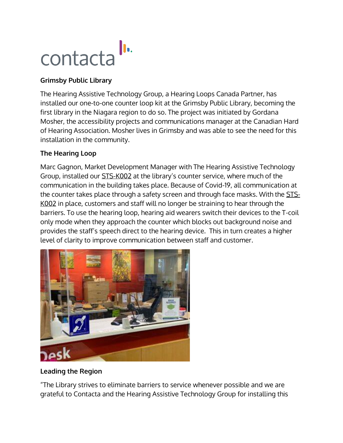

## **Grimsby Public Library**

The Hearing Assistive Technology Group, a Hearing Loops Canada Partner, has installed our one-to-one counter loop kit at the Grimsby Public Library, becoming the first library in the Niagara region to do so. The project was initiated by Gordana Mosher, the accessibility projects and communications manager at the Canadian Hard of Hearing Association. Mosher lives in Grimsby and was able to see the need for this installation in the community.

## **The Hearing Loop**

Marc Gagnon, Market Development Manager with The Hearing Assistive Technology Group, installed our [STS-K002](https://contactainc.com/products/window-intercom-systems/surface-mounted-system/) at the library's counter service, where much of the communication in the building takes place. Because of Covid-19, all communication at the counter takes place through a safety screen and through face masks. With the [STS-](https://contactainc.com/products/window-intercom-systems/surface-mounted-system/)[K002](https://contactainc.com/products/window-intercom-systems/surface-mounted-system/) in place, customers and staff will no longer be straining to hear through the barriers. To use the hearing loop, hearing aid wearers switch their devices to the T-coil only mode when they approach the counter which blocks out background noise and provides the staff's speech direct to the hearing device. This in turn creates a higher level of clarity to improve communication between staff and customer.



## **Leading the Region**

"The Library strives to eliminate barriers to service whenever possible and we are grateful to Contacta and the Hearing Assistive Technology Group for installing this